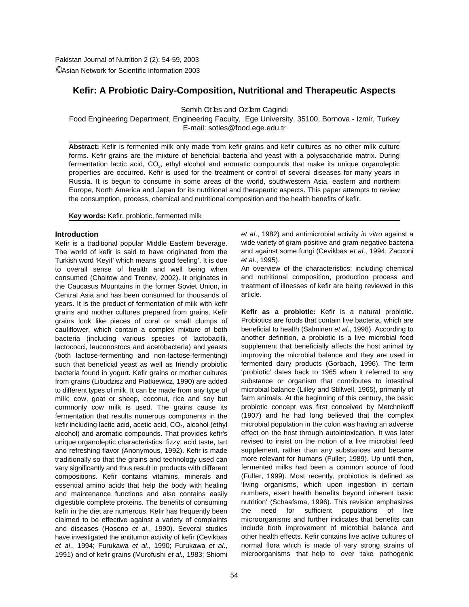# **Kefir: A Probiotic Dairy-Composition, Nutritional and Therapeutic Aspects**

Semih Ot1es and Oz1em Cagindi

Food Engineering Department, Engineering Faculty, Ege University, 35100, Bornova - Izmir, Turkey E-mail: sotles@food.ege.edu.tr

**Abstract:** Kefir is fermented milk only made from kefir grains and kefir cultures as no other milk culture forms. Kefir grains are the mixture of beneficial bacteria and yeast with a polysaccharide matrix. During fermentation lactic acid,  $CO<sub>2</sub>$ , ethyl alcohol and aromatic compounds that make its unique organoleptic properties are occurred. Kefir is used for the treatment or control of several diseases for many years in Russia. It is begun to consume in some areas of the world, southwestern Asia, eastern and northern Europe, North America and Japan for its nutritional and therapeutic aspects. This paper attempts to review the consumption, process, chemical and nutritional composition and the health benefits of kefir.

**Key words:** Kefir, probiotic, fermented milk

## **Introduction**

Kefir is a traditional popular Middle Eastern beverage. The world of kefir is said to have originated from the Turkish word 'Keyif' which means 'good feeling'. It is due to overall sense of health and well being when consumed (Chaitow and Trenev, 2002). It originates in the Caucasus Mountains in the former Soviet Union, in Central Asia and has been consumed for thousands of years. It is the product of fermentation of milk with kefir grains and mother cultures prepared from grains. Kefir grains look like pieces of coral or small clumps of cauliflower, which contain a complex mixture of both bacteria (including various species of lactobacilli, lactococci, leuconostocs and acetobacteria) and yeasts (both lactose-fermenting and non-lactose-fermenting) such that beneficial yeast as well as friendly probiotic bacteria found in yogurt. Kefir grains or mother cultures from grains (Libudzisz and Piatkiewicz, 1990) are added to different types of milk. It can be made from any type of milk; cow, goat or sheep, coconut, rice and soy but commonly cow milk is used. The grains cause its fermentation that results numerous components in the kefir including lactic acid, acetic acid, CO<sub>2</sub>, alcohol (ethyl alcohol) and aromatic compounds. That provides kefir's unique organoleptic characteristics: fizzy, acid taste, tart and refreshing flavor (Anonymous, 1992). Kefir is made traditionally so that the grains and technology used can vary significantly and thus result in products with different compositions. Kefir contains vitamins, minerals and essential amino acids that help the body with healing and maintenance functions and also contains easily digestible complete proteins. The benefits of consuming kefir in the diet are numerous. Kefir has frequently been claimed to be effective against a variety of complaints and diseases (Hosono *et al*., 1990). Several studies have investigated the antitumor activity of kefir (Cevikbas *et al*., 1994; Furukawa *et al*., 1990; Furukawa *et al*., 1991) and of kefir grains (Murofushi *et al.,* 1983; Shiomi

*et al*., 1982) and antimicrobial activity *in vitro* against a wide variety of gram-positive and gram-negative bacteria and against some fungi (Cevikbas *et al*., 1994; Zacconi *et al*., 1995).

An overview of the characteristics; including chemical and nutritional composition, production process and treatment of illnesses of kefir are being reviewed in this article.

**Kefir as a probiotic:** Kefir is a natural probiotic. Probiotics are foods that contain live bacteria, which are beneficial to health (Salminen *et al*., 1998). According to another definition, a probiotic is a live microbial food supplement that beneficially affects the host animal by improving the microbial balance and they are used in fermented dairy products (Gorbach, 1996). The term 'probiotic' dates back to 1965 when it referred to any substance or organism that contributes to intestinal microbial balance (Lilley and Stillwell, 1965), primarily of farm animals. At the beginning of this century, the basic probiotic concept was first conceived by Metchnikoff (1907) and he had long believed that the complex microbial population in the colon was having an adverse effect on the host through autointoxication. It was later revised to insist on the notion of a live microbial feed supplement, rather than any substances and became more relevant for humans (Fuller, 1989). Up until then, fermented milks had been a common source of food (Fuller, 1999). Most recently, probiotics is defined as 'living organisms, which upon ingestion in certain numbers, exert health benefits beyond inherent basic nutrition' (Schaafsma, 1996). This revision emphasizes the need for sufficient populations of live microorganisms and further indicates that benefits can include both improvement of microbial balance and other health effects. Kefir contains live active cultures of normal flora which is made of vary strong strains of microorganisms that help to over take pathogenic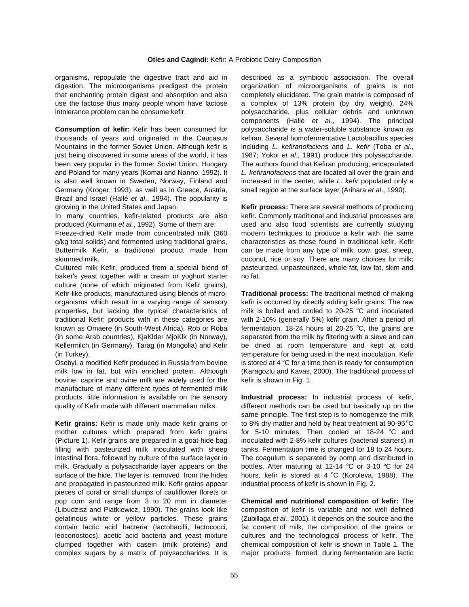digestion. The microorganisms predigest the protein organization of microorganisms of grains is not that enchanting protein digest and absorption and also completely elucidated. The grain matrix is composed of use the lactose thus many people whom have lactose a complex of 13% protein (by dry weight), 24% intolerance problem can be consume kefir. <br>
polysaccharide, plus cellular debris and unknown

**Consumption of kefir:** Kefir has been consumed for polysaccharide is a water-soluble substance known as thousands of years and originated in the Caucasus kefiran. Several homofermentative Lactobacillus species Mountains in the former Soviet Union. Although kefir is including *L. kefiranofaciens* and *L. kefir* (Toba *et al*., just being discovered in some areas of the world, it has 1987; Yokoi *et al*., 1991) produce this polysaccharide. been very popular in the former Soviet Union, Hungary The authors found that Kefiran producing, encapsulated and Poland for many years (Komai and Nanno, 1992). It *L. kefiranofaciens* that are located all over the grain and is also well known in Sweden, Norway, Finland and increased in the center, while *L. kefir* populated only a Germany (Kroger, 1993), as well as in Greece, Austria, small region at the surface layer (Arihara *et al*., 1990). Brazil and Israel (Hallé *et al*., 1994). The popularity is growing in the United States and Japan. **Kefir process:** There are several methods of producing

produced (Kurmann *et al.*, 1992). Some of them are: used and also food scientists are currently studying

Freeze-dried Kefir made from concentrated milk (360 modern techniques to produce a kefir with the same g/kg total solids) and fermented using traditional grains, characteristics as those found in traditional kefir. Kefir Buttermilk Kefir, a traditional product made from can be made from any type of milk, cow, goat, sheep, skimmed milk, state of source of source of soveral coconut, rice or sov. There are many choices for milk;

baker's yeast together with a cream or yoghurt starter no fat. culture (none of which originated from Kefir grains), Kefir-like products, manufactured using blends of micro- **Traditional process:** The traditional method of making organisms which result in a varying range of sensory kefir is occurred by directly adding kefir grains. The raw properties, but lacking the typical characteristics of traditional Kefir; products with in these categories are with 2-10% (generally 5%) kefir grain. After a period of known as Omaere (in South-West Africa), Rob or Roba (in some Arab countries), KjaKlder MjoKlk (in Norway), separated from the milk by filtering with a sieve and can Kellermilch (in Germany), Tarag (in Mongolia) and Kefir be dried at room temperature and kept at cold (in Turkey), temperature for being used in the next inoculation. Kefir

Osobyi, a modified Kefir produced in Russia from bovine milk low in fat, but with enriched protein. Although (Karagozlu and Kavas, 2000). The traditional process of bovine, caprine and ovine milk are widely used for the kefir is shown in Fig. 1. manufacture of many different types of fermented milk products, little information is available on the sensory **Industrial process:** In industrial process of kefir, quality of Kefir made with different mammalian milks. different methods can be used but basically up on the

**Kefir grains:** Kefir is made only made kefir grains or mother cultures which prepared from kefir grains. (Picture 1). Kefir grains are prepared in a goat-hide bag inoculated with 2-8% kefir cultures (bacterial starters) in filling with pasteurized milk inoculated with sheep tanks. Fermentation time is changed for 18 to 24 hours. intestinal flora, followed by culture of the surface layer in The coagulum is separated by pomp and distributed in milk. Gradually a polysaccharide layer appears on the surface of the hide. The layer is removed from the hides and propagated in pasteurized milk. Kefir grains appear industrial process of kefir is shown in Fig. 2. pieces of coral or small clumps of cauliflower florets or pop corn and range from 3 to 20 mm in diameter **Chemical and nutritional composition of kefir:** The (Libudzisz and Piatkiewicz, 1990). The grains look like composition of kefir is variable and not well defined gelatinous white or yellow particles. These grains (Zubillaga *et al*., 2001). It depends on the source and the contain lactic acid bacteria (lactobacilli, lactococci, fat content of milk, the composition of the grains or leoconostocs), acetic acid bacteria and yeast mixture cultures and the technological process of kefir. The clumped together with casein (milk proteins) and chemical composition of kefir is shown in Table 1. The complex sugars by a matrix of polysaccharides. It is major products formed during fermentation are lactic

organisms, repopulate the digestive tract and aid in described as a symbiotic association. The overall components (Hallé *et al*., 1994). The principal

In many countries, kefir-related products are also kefir. Commonly traditional and industrial processes are Cultured milk Kefir, produced from a special blend of pasteurized, unpasteurized, whole fat, low fat, skim and

> milk is boiled and cooled to 20-25 °C and inoculated fermentation, 18-24 hours at 20-25 °C, the grains are is stored at 4 °C for a time then is ready for consumption

> same principle. The first step is to homogenize the milk to 8% dry matter and held by heat treatment at 90-95 °C for 5-10 minutes. Then cooled at 18-24 °C and bottles. After maturing at 12-14 °C or 3-10 °C for 24 hours, kefir is stored at 4 °C (Koroleva, 1988). The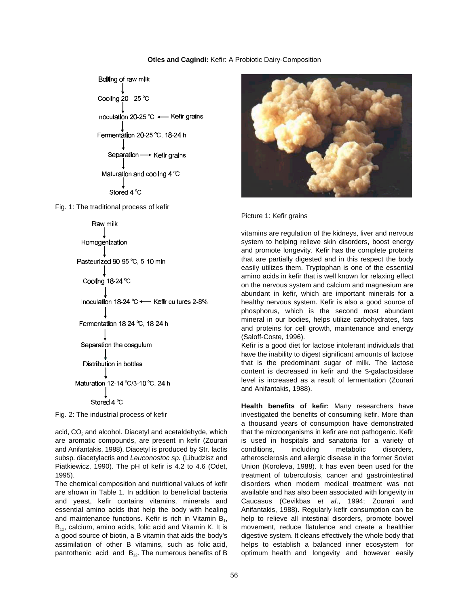## **Otles and Cagindi:** Kefir: A Probiotic Dairy-Composition



Fig. 1: The traditional process of kefir



are aromatic compounds, are present in kefir (Zourari is used in hospitals and sanatoria for a variety of and Anifantakis, 1988). Diacetyl is produced by Str. lactis conditions, including metabolic disorders, subsp. diacetylactis and *Leuconostoc sp.* (Libudzisz and atherosclerosis and allergic disease in the former Soviet Piatkiewicz, 1990). The pH of kefir is 4.2 to 4.6 (Odet, Union (Koroleva, 1988). It has even been used for the

are shown in Table 1. In addition to beneficial bacteria available and has also been associated with longevity in and yeast, kefir contains vitamins, minerals and Caucasus (Cevikbas *et al*., 1994; Zourari and essential amino acids that help the body with healing Anifantakis, 1988). Regularly kefir consumption can be and maintenance functions. Kefir is rich in Vitamin  $B_1$ , help to relieve all intestinal disorders, promote bowel  $B_{12}$ , calcium, amino acids, folic acid and Vitamin K. It is movement, reduce flatulence and create a he  $B_{12}$ , calcium, amino acids, folic acid and Vitamin K. It is assimilation of other B vitamins, such as folic acid, helps to establish a balanced inner ecosystem for pantothenic acid and  $B_{12}$ . The numerous benefits of B optimum health and longevity and however easily



#### Picture 1: Kefir grains

vitamins are regulation of the kidneys, liver and nervous system to helping relieve skin disorders, boost energy and promote longevity. Kefir has the complete proteins that are partially digested and in this respect the body easily utilizes them. Tryptophan is one of the essential amino acids in kefir that is well known for relaxing effect on the nervous system and calcium and magnesium are abundant in kefir, which are important minerals for a healthy nervous system. Kefir is also a good source of phosphorus, which is the second most abundant mineral in our bodies, helps utilize carbohydrates, fats and proteins for cell growth, maintenance and energy (Saloff-Coste, 1996).

Kefir is a good diet for lactose intolerant individuals that have the inability to digest significant amounts of lactose that is the predominant sugar of milk. The lactose content is decreased in kefir and the \$-galactosidase level is increased as a result of fermentation (Zourari and Anifantakis, 1988).

Fig. 2: The industrial process of kefir investigated the benefits of consuming kefir. More than acid, CO<sub>2</sub> and alcohol. Diacetyl and acetaldehyde, which that the microorganisms in kefir are not pathogenic. Kefir 1995). treatment of tuberculosis, cancer and gastrointestinal The chemical composition and nutritional values of kefir disorders when modern medical treatment was not a good source of biotin, a B vitamin that aids the body's digestive system. It cleans effectively the whole body that **Health benefits of kefir:** Many researchers have a thousand years of consumption have demonstrated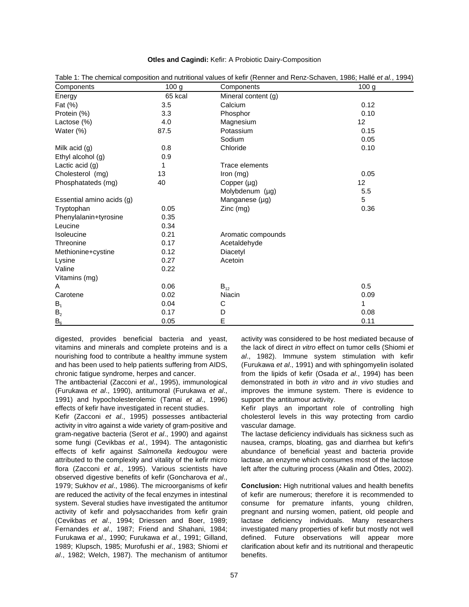|  |  |  | Otles and Cagindi: Kefir: A Probiotic Dairy-Composition |
|--|--|--|---------------------------------------------------------|
|--|--|--|---------------------------------------------------------|

| Components                | 100 <sub>g</sub> | Components          | 100 <sub>g</sub> |
|---------------------------|------------------|---------------------|------------------|
| Energy                    | 65 kcal          | Mineral content (g) |                  |
| Fat (%)                   | 3.5              | Calcium             | 0.12             |
| Protein (%)               | 3.3              | Phosphor            | 0.10             |
| Lactose (%)               | 4.0              | Magnesium           | 12               |
| Water (%)                 | 87.5             | Potassium           | 0.15             |
|                           |                  | Sodium              | 0.05             |
| Milk acid (g)             | 0.8              | Chloride            | 0.10             |
| Ethyl alcohol (g)         | 0.9              |                     |                  |
| Lactic acid $(g)$         | 1                | Trace elements      |                  |
| Cholesterol (mg)          | 13               | Iron (mg)           | 0.05             |
| Phosphatateds (mg)        | 40               | Copper (µg)         | 12               |
|                           |                  | Molybdenum (µg)     | 5.5              |
| Essential amino acids (g) |                  | Manganese (µg)      | 5                |
| Tryptophan                | 0.05             | Zinc (mg)           | 0.36             |
| Phenylalanin+tyrosine     | 0.35             |                     |                  |
| Leucine                   | 0.34             |                     |                  |
| Isoleucine                | 0.21             | Aromatic compounds  |                  |
| Threonine                 | 0.17             | Acetaldehyde        |                  |
| Methionine+cystine        | 0.12             | Diacetyl            |                  |
| Lysine                    | 0.27             | Acetoin             |                  |
| Valine                    | 0.22             |                     |                  |
| Vitamins (mg)             |                  |                     |                  |
| Α                         | 0.06             | $B_{12}$            | 0.5              |
| Carotene                  | 0.02             | <b>Niacin</b>       | 0.09             |
| $B_1$                     | 0.04             | C                   | 1                |
| B <sub>2</sub>            | 0.17             | D                   | 0.08             |
| $B_6$                     | 0.05             | E                   | 0.11             |

Table 1: The chemical composition and nutritional values of kefir (Renner and Renz-Schaven, 1986; Hallé *et al.*, 1994)

vitamins and minerals and complete proteins and is a the lack of direct *in vitro* effect on tumor cells (Shiomi *et* nourishing food to contribute a healthy immune system *al*., 1982). Immune system stimulation with kefir and has been used to help patients suffering from AIDS, (Furukawa *et al*., 1991) and with sphingomyelin isolated chronic fatigue syndrome, herpes and cancer. from the lipids of kefir (Osada *et al*., 1994) has been

(Furukawa *et al*., 1990), antitumoral (Furukawa *et al*., improves the immune system. There is evidence to 1991) and hypocholesterolemic (Tamai *et al*., 1996) support the antitumour activity. effects of kefir have investigated in recent studies. Kefir plays an important role of controlling high

activity in vitro against a wide variety of gram-positive and vascular damage. gram-negative bacteria (Serot *et al*., 1990) and against The lactase deficiency individuals has sickness such as some fungi (Cevikbas *et al.*, 1994). The antagonistic nausea, cramps, bloating, gas and diarrhea but kefir's effects of kefir against *Salmonella kedougou* were abundance of beneficial yeast and bacteria provide attributed to the complexity and vitality of the kefir micro lactase, an enzyme which consumes most of the lactose flora (Zacconi *et al.*, 1995). Various scientists have left after the culturing process (Akalin and Ötles, 2002). observed digestive benefits of kefir (Goncharova *et al*., 1979; Sukhov *et al*., 1986). The microorganisms of kefir **Conclusion:** High nutritional values and health benefits are reduced the activity of the fecal enzymes in intestinal of kefir are numerous; therefore it is recommended to system. Several studies have investigated the antitumor consume for premature infants, young children, activity of kefir and polysaccharides from kefir grain pregnant and nursing women, patient, old people and (Cevikbas *et al*., 1994; Driessen and Boer, 1989; lactase deficiency individuals. Many researchers Fernandes *et al*., 1987; Friend and Shahani, 1984; investigated many properties of kefir but mostly not well Furukawa *et al*., 1990; Furukawa *et al*., 1991; Gilland, defined. Future observations will appear more 1989; Klupsch, 1985; Murofushi *et al*., 1983; Shiomi *et* clarification about kefir and its nutritional and therapeutic *al*., 1982; Welch, 1987). The mechanism of antitumor benefits.

digested, provides beneficial bacteria and yeast, activity was considered to be host mediated because of The antibacterial (Zacconi *et al*., 1995), immunological demonstrated in both *in vitro* and *in vivo* studies and

Kefir (Zacconi *et al*., 1995) possesses antibacterial cholesterol levels in this way protecting from cardio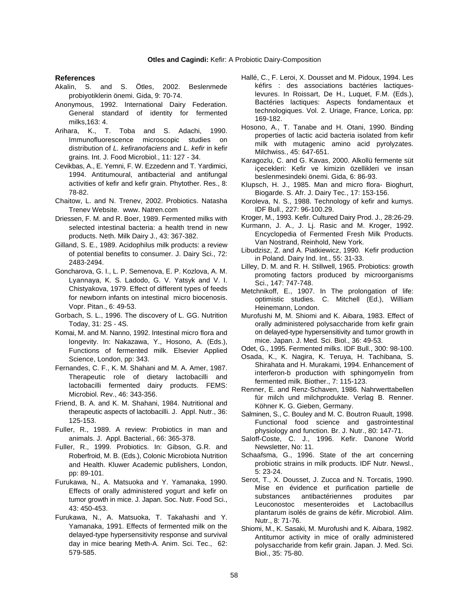#### **References**

- Akalin, S. and S. Ötles, 2002. Beslenmede probiyotiklerin önemi. Gida, 9: 70-74.
- Anonymous, 1992. International Dairy Federation. General standard of identity for fermented milks,163: 4.
- Arihara, K., T. Toba and S. Adachi, 1990. Immunofluorescence microscopic studies on distribution of *L. kefiranofaciens* and *L. kefir* in kefir grains. Int. J. Food Microbiol., 11: 127 - 34.
- Cevikbas, A., E. Yemni, F. W. Ezzedenn and T. Yardimici, 1994. Antitumoural, antibacterial and antifungal activities of kefir and kefir grain. Phytother. Res., 8: 78-82.
- Chaitow, L. and N. Trenev, 2002. Probiotics. Natasha Trenev Website. www. Natren.com
- Driessen, F. M. and R. Boer, 1989. Fermented milks with selected intestinal bacteria: a health trend in new products. Neth. Milk Dairy J., 43: 367-382.
- Gilland, S. E., 1989. Acidophilus milk products: a review of potential benefits to consumer. J. Dairy Sci., 72: 2483-2494.
- Goncharova, G. I., L. P. Semenova, E. P. Kozlova, A. M. Lyannaya, K. S. Ladodo, G. V. Yatsyk and V. I. Chistyakova, 1979. Effect of different types of feeds for newborn infants on intestinal micro biocenosis. Vopr. Pitan., 6: 49-53.
- Gorbach, S. L., 1996. The discovery of L. GG. Nutrition Today, 31: 2S - 4S.
- Komai, M. and M. Nanno, 1992. Intestinal micro flora and longevity. In: Nakazawa, Y., Hosono, A. (Eds.), Functions of fermented milk. Elsevier Applied Science, London, pp: 343.
- Fernandes, C. F., K. M. Shahani and M. A. Amer, 1987. Therapeutic role of dietary lactobacilli and lactobacilli fermented dairy products. FEMS: Microbiol. Rev., 46: 343-356.
- Friend, B. A. and K. M. Shahani, 1984. Nutritional and therapeutic aspects of lactobacilli. J. Appl. Nutr., 36: 125-153.
- Fuller, R., 1989. A review: Probiotics in man and animals. J. Appl. Bacterial., 66: 365-378.
- Fuller, R., 1999. Probiotics. In: Gibson, G.R. and Newsletter, No: 11. Roberfroid, M. B. (Eds.), Colonic Microbiota Nutrition and Health. Kluwer Academic publishers, London, pp: 89-101.
- Furukawa, N., A. Matsuoka and Y. Yamanaka, 1990. Effects of orally administered yogurt and kefir on tumor growth in mice. J. Japan. Soc. Nutr. Food Sci., 43: 450-453.
- Furukawa, N., A. Matsuoka, T. Takahashi and Y. Yamanaka, 1991. Effects of fermented milk on the delayed-type hypersensitivity response and survival day in mice bearing Meth-A. Anim. Sci. Tec., 62: 579-585.
- Hallé, C., F. Leroi, X. Dousset and M. Pidoux, 1994. Les kéfirs : des associations bactéries lactiqueslevures. In Roissart, De H., Luquet, F.M. (Eds.), Bactéries lactiques: Aspects fondamentaux et technologiques. Vol. 2. Uriage, France, Lorica, pp: 169-182.
- Hosono, A., T. Tanabe and H. Otani, 1990. Binding properties of lactic acid bacteria isolated from kefir milk with mutagenic amino acid pyrolyzates. Milchwiss., 45: 647-651.
- Karagozlu, C. and G. Kavas, 2000. Alkollü fermente süt içecekleri: Kefir ve kimizin özellikleri ve insan beslenmesindeki önemi. Gida, 6: 86-93.
- Klupsch, H. J., 1985. Man and micro flora- Bioghurt, Biogarde. S. Afr. J. Dairy Tec., 17: 153-156.
- Koroleva, N. S., 1988. Technology of kefir and kumys. IDF Bull., 227: 96-100.29.
- Kroger, M., 1993. Kefir. Cultured Dairy Prod. J., 28:26-29.
- Kurmann, J. A., J. Lj. Rasic and M. Kroger, 1992. Encyclopedia of Fermented Fresh Milk Products. Van Nostrand, Reinhold, New York.
- Libudzisz, Z. and A. Piatkiewicz, 1990. Kefir production in Poland. Dairy Ind. Int., 55: 31-33.
- Lilley, D. M. and R. H. Stillwell, 1965. Probiotics: growth promoting factors produced by microorganisms Sci., 147: 747-748.
- Metchnikoff, E., 1907. In The prolongation of life: optimistic studies. C. Mitchell (Ed.), William Heinemann, London.
- Murofushi M, M. Shiomi and K. Aibara, 1983. Effect of orally administered polysaccharide from kefir grain on delayed-type hypersensitivity and tumor growth in mice. Japan. J. Med. Sci. Biol., 36: 49-53.
- Odet, G., 1995. Fermented milks. IDF Bull., 300: 98-100.
- Osada, K., K. Nagira, K. Teruya, H. Tachibana, S. Shirahata and H. Murakami, 1994. Enhancement of interferon-b production with sphingomyelin from fermented milk. Biother., 7: 115-123.
- Renner, E. and Renz-Schaven, 1986. Nahrwerttabellen für milch und milchprodukte. Verlag B. Renner. Köhner K. G. Gieben, Germany.
- Salminen, S., C. Bouley and M. C. Boutron Ruault, 1998. Functional food science and gastrointestinal physiology and function. Br. J. Nutr., 80: 147-71.
- Saloff-Coste, C. J., 1996. Kefir. Danone World
- Schaafsma, G., 1996. State of the art concerning probiotic strains in milk products. IDF Nutr. Newsl., 5: 23-24.
- Serot, T., X. Dousset, J. Zucca and N. Torcatis, 1990. Mise en évidence et purification partielle de substances antibactériennes produites par Leuconostoc mesenteroides et Lactobacillus plantarum isolés de grains de kéfir. Microbiol. Alim. Nutr., 8: 71-76.
- Shiomi, M., K. Sasaki, M. Murofushi and K. Aibara, 1982. Antitumor activity in mice of orally administered polysaccharide from kefir grain. Japan. J. Med. Sci. Biol., 35: 75-80.